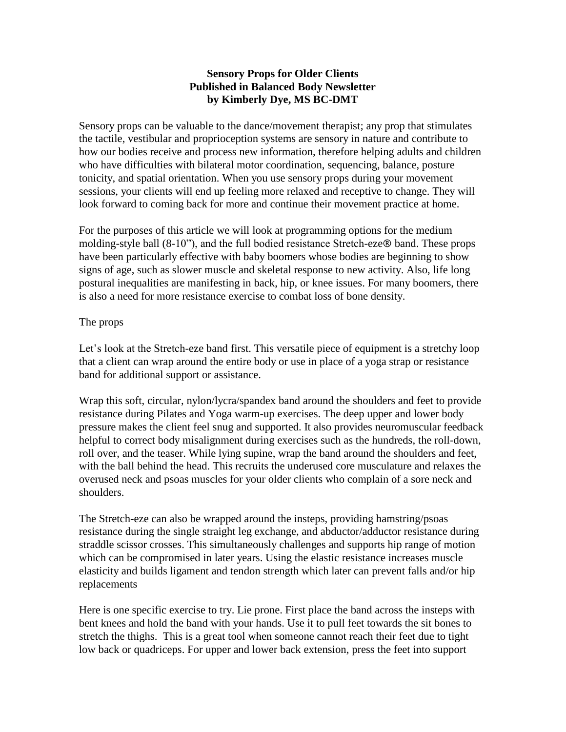## **Sensory Props for Older Clients Published in Balanced Body Newsletter by Kimberly Dye, MS BC-DMT**

Sensory props can be valuable to the dance/movement therapist; any prop that stimulates the tactile, vestibular and proprioception systems are sensory in nature and contribute to how our bodies receive and process new information, therefore helping adults and children who have difficulties with bilateral motor coordination, sequencing, balance, posture tonicity, and spatial orientation. When you use sensory props during your movement sessions, your clients will end up feeling more relaxed and receptive to change. They will look forward to coming back for more and continue their movement practice at home.

For the purposes of this article we will look at programming options for the medium molding-style ball (8-10"), and the full bodied resistance Stretch-eze® band. These props have been particularly effective with baby boomers whose bodies are beginning to show signs of age, such as slower muscle and skeletal response to new activity. Also, life long postural inequalities are manifesting in back, hip, or knee issues. For many boomers, there is also a need for more resistance exercise to combat loss of bone density.

## The props

Let's look at the Stretch-eze band first. This versatile piece of equipment is a stretchy loop that a client can wrap around the entire body or use in place of a yoga strap or resistance band for additional support or assistance.

Wrap this soft, circular, nylon/lycra/spandex band around the shoulders and feet to provide resistance during Pilates and Yoga warm-up exercises. The deep upper and lower body pressure makes the client feel snug and supported. It also provides neuromuscular feedback helpful to correct body misalignment during exercises such as the hundreds, the roll-down, roll over, and the teaser. While lying supine, wrap the band around the shoulders and feet, with the ball behind the head. This recruits the underused core musculature and relaxes the overused neck and psoas muscles for your older clients who complain of a sore neck and shoulders.

The Stretch-eze can also be wrapped around the insteps, providing hamstring/psoas resistance during the single straight leg exchange, and abductor/adductor resistance during straddle scissor crosses. This simultaneously challenges and supports hip range of motion which can be compromised in later years. Using the elastic resistance increases muscle elasticity and builds ligament and tendon strength which later can prevent falls and/or hip replacements

Here is one specific exercise to try. Lie prone. First place the band across the insteps with bent knees and hold the band with your hands. Use it to pull feet towards the sit bones to stretch the thighs. This is a great tool when someone cannot reach their feet due to tight low back or quadriceps. For upper and lower back extension, press the feet into support